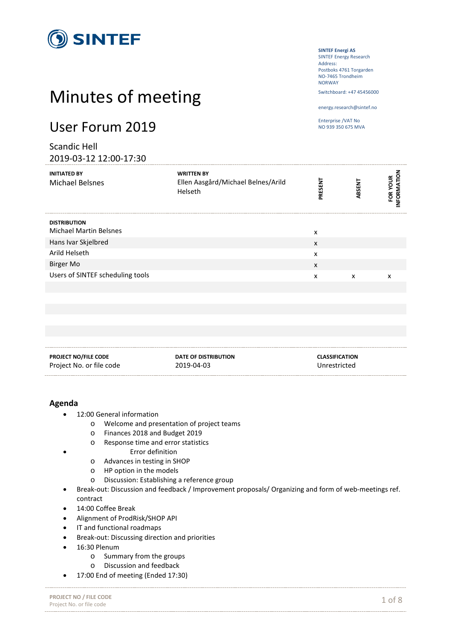

# Minutes of meeting

# User Forum 2019

Scandic Hell 2019-03-12 12:00-17:30 **SINTEF Energi AS** SINTEF Energy Research Address: Postboks 4761 Torgarden

NO-7465 Trondheim NORWAY Switchboard: +47 45456000

energy.research@sintef.no

Enterprise /VAT No NO 939 350 675 MVA

| LULJ-UJ-14 14.UU-17.JU                               |                                                                    |         |        |                         |
|------------------------------------------------------|--------------------------------------------------------------------|---------|--------|-------------------------|
| <b>INITIATED BY</b><br><b>Michael Belsnes</b>        | <b>WRITTEN BY</b><br>Ellen Aasgård/Michael Belnes/Arild<br>Helseth | PRESENT | ABSENT | INFORMATION<br>FOR YOUR |
| <b>DISTRIBUTION</b><br><b>Michael Martin Belsnes</b> |                                                                    | x       |        |                         |
| Hans Ivar Skjelbred                                  |                                                                    | X       |        |                         |
| Arild Helseth                                        |                                                                    | x       |        |                         |
| <b>Birger Mo</b>                                     |                                                                    | X       |        |                         |
| Users of SINTEF scheduling tools                     |                                                                    | x       | X      | x                       |
|                                                      |                                                                    |         |        |                         |

| <b>PROJECT NO/FILE CODE</b> | DATE OF DISTRIBUTION | <b>CLASSIFICATION</b> |
|-----------------------------|----------------------|-----------------------|
| Project No. or file code    | 2019-04-03           | Unrestricted          |

#### **Agenda**

- 12:00 General information
	- o Welcome and presentation of project teams
		- o Finances 2018 and Budget 2019
		- o Response time and error statistics
			- Error definition
		- o Advances in testing in SHOP
		- o HP option in the models
		- o Discussion: Establishing a reference group
- Break-out: Discussion and feedback / Improvement proposals/ Organizing and form of web-meetings ref. contract
- 14:00 Coffee Break
- Alignment of ProdRisk/SHOP API
- IT and functional roadmaps
- Break-out: Discussing direction and priorities
- 16:30 Plenum
	- o Summary from the groups
		- o Discussion and feedback
- 17:00 End of meeting (Ended 17:30)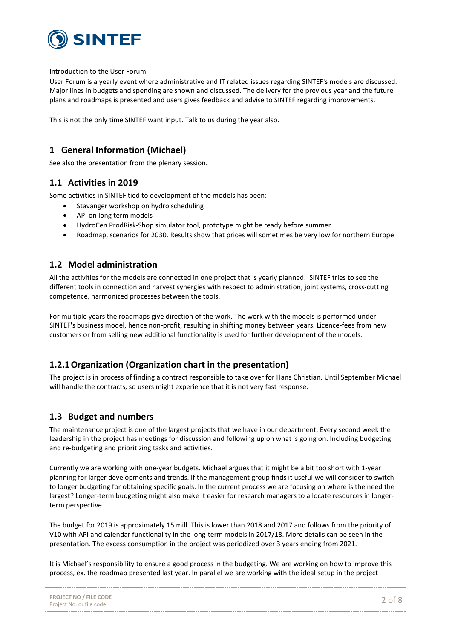

Introduction to the User Forum

User Forum is a yearly event where administrative and IT related issues regarding SINTEF's models are discussed. Major lines in budgets and spending are shown and discussed. The delivery for the previous year and the future plans and roadmaps is presented and users gives feedback and advise to SINTEF regarding improvements.

This is not the only time SINTEF want input. Talk to us during the year also.

### **1 General Information (Michael)**

See also the presentation from the plenary session.

#### **1.1 Activities in 2019**

Some activities in SINTEF tied to development of the models has been:

- Stavanger workshop on hydro scheduling
- API on long term models
- HydroCen ProdRisk-Shop simulator tool, prototype might be ready before summer
- Roadmap, scenarios for 2030. Results show that prices will sometimes be very low for northern Europe

#### **1.2 Model administration**

All the activities for the models are connected in one project that is yearly planned. SINTEF tries to see the different tools in connection and harvest synergies with respect to administration, joint systems, cross-cutting competence, harmonized processes between the tools.

For multiple years the roadmaps give direction of the work. The work with the models is performed under SINTEF's business model, hence non-profit, resulting in shifting money between years. Licence-fees from new customers or from selling new additional functionality is used for further development of the models.

## **1.2.1Organization (Organization chart in the presentation)**

The project is in process of finding a contract responsible to take over for Hans Christian. Until September Michael will handle the contracts, so users might experience that it is not very fast response.

#### **1.3 Budget and numbers**

The maintenance project is one of the largest projects that we have in our department. Every second week the leadership in the project has meetings for discussion and following up on what is going on. Including budgeting and re-budgeting and prioritizing tasks and activities.

Currently we are working with one-year budgets. Michael argues that it might be a bit too short with 1-year planning for larger developments and trends. If the management group finds it useful we will consider to switch to longer budgeting for obtaining specific goals. In the current process we are focusing on where is the need the largest? Longer-term budgeting might also make it easier for research managers to allocate resources in longerterm perspective

The budget for 2019 is approximately 15 mill. This is lower than 2018 and 2017 and follows from the priority of V10 with API and calendar functionality in the long-term models in 2017/18. More details can be seen in the presentation. The excess consumption in the project was periodized over 3 years ending from 2021.

It is Michael's responsibility to ensure a good process in the budgeting. We are working on how to improve this process, ex. the roadmap presented last year. In parallel we are working with the ideal setup in the project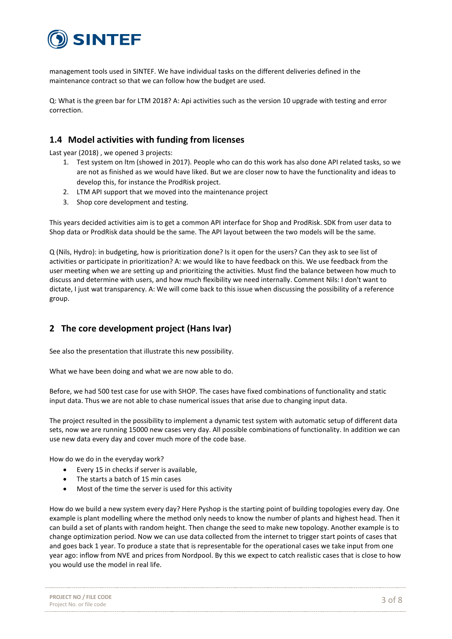

management tools used in SINTEF. We have individual tasks on the different deliveries defined in the maintenance contract so that we can follow how the budget are used.

Q: What is the green bar for LTM 2018? A: Api activities such as the version 10 upgrade with testing and error correction.

#### **1.4 Model activities with funding from licenses**

Last year (2018) , we opened 3 projects:

- 1. Test system on ltm (showed in 2017). People who can do this work has also done API related tasks, so we are not as finished as we would have liked. But we are closer now to have the functionality and ideas to develop this, for instance the ProdRisk project.
- 2. LTM API support that we moved into the maintenance project
- 3. Shop core development and testing.

This years decided activities aim is to get a common API interface for Shop and ProdRisk. SDK from user data to Shop data or ProdRisk data should be the same. The API layout between the two models will be the same.

Q (Nils, Hydro): in budgeting, how is prioritization done? Is it open for the users? Can they ask to see list of activities or participate in prioritization? A: we would like to have feedback on this. We use feedback from the user meeting when we are setting up and prioritizing the activities. Must find the balance between how much to discuss and determine with users, and how much flexibility we need internally. Comment Nils: I don't want to dictate, I just wat transparency. A: We will come back to this issue when discussing the possibility of a reference group.

#### **2 The core development project (Hans Ivar)**

See also the presentation that illustrate this new possibility.

What we have been doing and what we are now able to do.

Before, we had 500 test case for use with SHOP. The cases have fixed combinations of functionality and static input data. Thus we are not able to chase numerical issues that arise due to changing input data.

The project resulted in the possibility to implement a dynamic test system with automatic setup of different data sets, now we are running 15000 new cases very day. All possible combinations of functionality. In addition we can use new data every day and cover much more of the code base.

How do we do in the everyday work?

- Every 15 in checks if server is available,
- The starts a batch of 15 min cases
- Most of the time the server is used for this activity

How do we build a new system every day? Here Pyshop is the starting point of building topologies every day. One example is plant modelling where the method only needs to know the number of plants and highest head. Then it can build a set of plants with random height. Then change the seed to make new topology. Another example is to change optimization period. Now we can use data collected from the internet to trigger start points of cases that and goes back 1 year. To produce a state that is representable for the operational cases we take input from one year ago: inflow from NVE and prices from Nordpool. By this we expect to catch realistic cases that is close to how you would use the model in real life.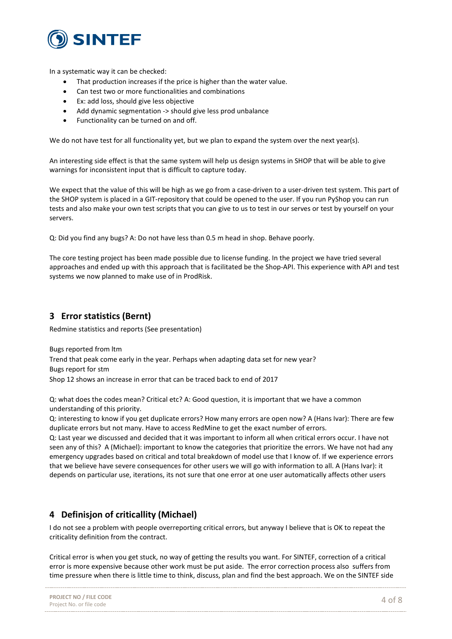

In a systematic way it can be checked:

- That production increases if the price is higher than the water value.
- Can test two or more functionalities and combinations
- Ex: add loss, should give less objective
- Add dynamic segmentation -> should give less prod unbalance
- Functionality can be turned on and off.

We do not have test for all functionality yet, but we plan to expand the system over the next year(s).

An interesting side effect is that the same system will help us design systems in SHOP that will be able to give warnings for inconsistent input that is difficult to capture today.

We expect that the value of this will be high as we go from a case-driven to a user-driven test system. This part of the SHOP system is placed in a GIT-repository that could be opened to the user. If you run PyShop you can run tests and also make your own test scripts that you can give to us to test in our serves or test by yourself on your servers.

Q: Did you find any bugs? A: Do not have less than 0.5 m head in shop. Behave poorly.

The core testing project has been made possible due to license funding. In the project we have tried several approaches and ended up with this approach that is facilitated be the Shop-API. This experience with API and test systems we now planned to make use of in ProdRisk.

#### **3 Error statistics (Bernt)**

Redmine statistics and reports (See presentation)

Bugs reported from ltm Trend that peak come early in the year. Perhaps when adapting data set for new year? Bugs report for stm Shop 12 shows an increase in error that can be traced back to end of 2017

Q: what does the codes mean? Critical etc? A: Good question, it is important that we have a common understanding of this priority.

Q: interesting to know if you get duplicate errors? How many errors are open now? A (Hans Ivar): There are few duplicate errors but not many. Have to access RedMine to get the exact number of errors.

Q: Last year we discussed and decided that it was important to inform all when critical errors occur. I have not seen any of this? A (Michael): important to know the categories that prioritize the errors. We have not had any emergency upgrades based on critical and total breakdown of model use that I know of. If we experience errors that we believe have severe consequences for other users we will go with information to all. A (Hans Ivar): it depends on particular use, iterations, its not sure that one error at one user automatically affects other users

#### **4 Definisjon of criticallity (Michael)**

I do not see a problem with people overreporting critical errors, but anyway I believe that is OK to repeat the criticality definition from the contract.

Critical error is when you get stuck, no way of getting the results you want. For SINTEF, correction of a critical error is more expensive because other work must be put aside. The error correction process also suffers from time pressure when there is little time to think, discuss, plan and find the best approach. We on the SINTEF side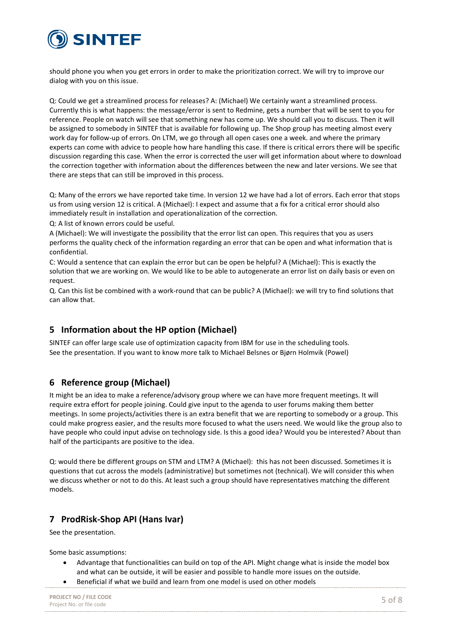

should phone you when you get errors in order to make the prioritization correct. We will try to improve our dialog with you on this issue.

Q: Could we get a streamlined process for releases? A: (Michael) We certainly want a streamlined process. Currently this is what happens: the message/error is sent to Redmine, gets a number that will be sent to you for reference. People on watch will see that something new has come up. We should call you to discuss. Then it will be assigned to somebody in SINTEF that is available for following up. The Shop group has meeting almost every work day for follow-up of errors. On LTM, we go through all open cases one a week. and where the primary experts can come with advice to people how hare handling this case. If there is critical errors there will be specific discussion regarding this case. When the error is corrected the user will get information about where to download the correction together with information about the differences between the new and later versions. We see that there are steps that can still be improved in this process.

Q: Many of the errors we have reported take time. In version 12 we have had a lot of errors. Each error that stops us from using version 12 is critical. A (Michael): I expect and assume that a fix for a critical error should also immediately result in installation and operationalization of the correction.

Q: A list of known errors could be useful.

A (Michael): We will investigate the possibility that the error list can open. This requires that you as users performs the quality check of the information regarding an error that can be open and what information that is confidential.

C: Would a sentence that can explain the error but can be open be helpful? A (Michael): This is exactly the solution that we are working on. We would like to be able to autogenerate an error list on daily basis or even on request.

Q. Can this list be combined with a work-round that can be public? A (Michael): we will try to find solutions that can allow that.

#### **5 Information about the HP option (Michael)**

SINTEF can offer large scale use of optimization capacity from IBM for use in the scheduling tools. See the presentation. If you want to know more talk to Michael Belsnes or Bjørn Holmvik (Powel)

#### **6 Reference group (Michael)**

It might be an idea to make a reference/advisory group where we can have more frequent meetings. It will require extra effort for people joining. Could give input to the agenda to user forums making them better meetings. In some projects/activities there is an extra benefit that we are reporting to somebody or a group. This could make progress easier, and the results more focused to what the users need. We would like the group also to have people who could input advise on technology side. Is this a good idea? Would you be interested? About than half of the participants are positive to the idea.

Q: would there be different groups on STM and LTM? A (Michael): this has not been discussed. Sometimes it is questions that cut across the models (administrative) but sometimes not (technical). We will consider this when we discuss whether or not to do this. At least such a group should have representatives matching the different models.

#### **7 ProdRisk-Shop API (Hans Ivar)**

See the presentation.

Some basic assumptions:

- Advantage that functionalities can build on top of the API. Might change what is inside the model box and what can be outside, it will be easier and possible to handle more issues on the outside.
- Beneficial if what we build and learn from one model is used on other models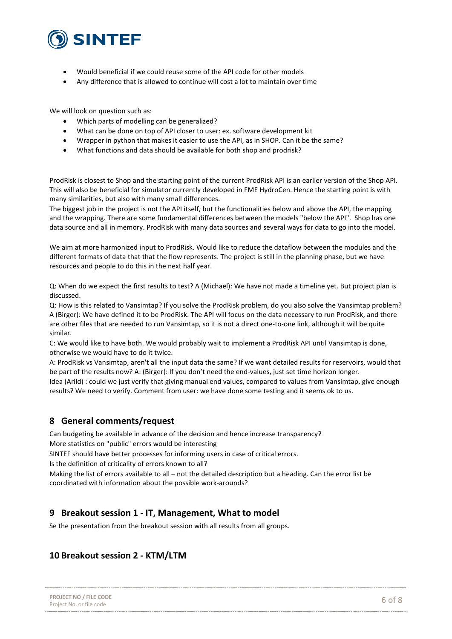

- Would beneficial if we could reuse some of the API code for other models
- Any difference that is allowed to continue will cost a lot to maintain over time

We will look on question such as:

- Which parts of modelling can be generalized?
- What can be done on top of API closer to user: ex. software development kit
- Wrapper in python that makes it easier to use the API, as in SHOP. Can it be the same?
- What functions and data should be available for both shop and prodrisk?

ProdRisk is closest to Shop and the starting point of the current ProdRisk API is an earlier version of the Shop API. This will also be beneficial for simulator currently developed in FME HydroCen. Hence the starting point is with many similarities, but also with many small differences.

The biggest job in the project is not the API itself, but the functionalities below and above the API, the mapping and the wrapping. There are some fundamental differences between the models "below the API". Shop has one data source and all in memory. ProdRisk with many data sources and several ways for data to go into the model.

We aim at more harmonized input to ProdRisk. Would like to reduce the dataflow between the modules and the different formats of data that that the flow represents. The project is still in the planning phase, but we have resources and people to do this in the next half year.

Q: When do we expect the first results to test? A (Michael): We have not made a timeline yet. But project plan is discussed.

Q: How is this related to Vansimtap? If you solve the ProdRisk problem, do you also solve the Vansimtap problem? A (Birger): We have defined it to be ProdRisk. The API will focus on the data necessary to run ProdRisk, and there are other files that are needed to run Vansimtap, so it is not a direct one-to-one link, although it will be quite similar.

C: We would like to have both. We would probably wait to implement a ProdRisk API until Vansimtap is done, otherwise we would have to do it twice.

A: ProdRisk vs Vansimtap, aren't all the input data the same? If we want detailed results for reservoirs, would that be part of the results now? A: (Birger): If you don't need the end-values, just set time horizon longer. Idea (Arild) : could we just verify that giving manual end values, compared to values from Vansimtap, give enough results? We need to verify. Comment from user: we have done some testing and it seems ok to us.

#### **8 General comments/request**

Can budgeting be available in advance of the decision and hence increase transparency? More statistics on "public" errors would be interesting

SINTEF should have better processes for informing users in case of critical errors.

Is the definition of criticality of errors known to all?

Making the list of errors available to all – not the detailed description but a heading. Can the error list be coordinated with information about the possible work-arounds?

#### **9 Breakout session 1 - IT, Management, What to model**

Se the presentation from the breakout session with all results from all groups.

#### **10 Breakout session 2 - KTM/LTM**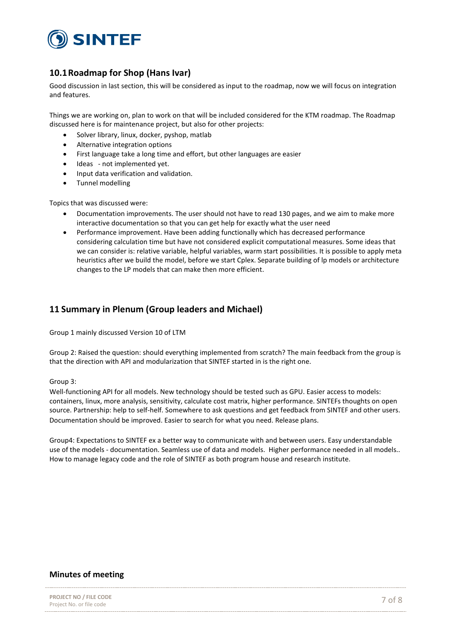

#### **10.1Roadmap for Shop (Hans Ivar)**

Good discussion in last section, this will be considered as input to the roadmap, now we will focus on integration and features.

Things we are working on, plan to work on that will be included considered for the KTM roadmap. The Roadmap discussed here is for maintenance project, but also for other projects:

- Solver library, linux, docker, pyshop, matlab
- Alternative integration options
- First language take a long time and effort, but other languages are easier
- Ideas not implemented vet.
- Input data verification and validation.
- Tunnel modelling

Topics that was discussed were:

- Documentation improvements. The user should not have to read 130 pages, and we aim to make more interactive documentation so that you can get help for exactly what the user need
- Performance improvement. Have been adding functionally which has decreased performance considering calculation time but have not considered explicit computational measures. Some ideas that we can consider is: relative variable, helpful variables, warm start possibilities. It is possible to apply meta heuristics after we build the model, before we start Cplex. Separate building of lp models or architecture changes to the LP models that can make then more efficient.

#### **11 Summary in Plenum (Group leaders and Michael)**

Group 1 mainly discussed Version 10 of LTM

Group 2: Raised the question: should everything implemented from scratch? The main feedback from the group is that the direction with API and modularization that SINTEF started in is the right one.

#### Group 3:

Well-functioning API for all models. New technology should be tested such as GPU. Easier access to models: containers, linux, more analysis, sensitivity, calculate cost matrix, higher performance. SINTEFs thoughts on open source. Partnership: help to self-helf. Somewhere to ask questions and get feedback from SINTEF and other users. Documentation should be improved. Easier to search for what you need. Release plans.

Group4: Expectations to SINTEF ex a better way to communicate with and between users. Easy understandable use of the models - documentation. Seamless use of data and models. Higher performance needed in all models.. How to manage legacy code and the role of SINTEF as both program house and research institute.

#### **Minutes of meeting**